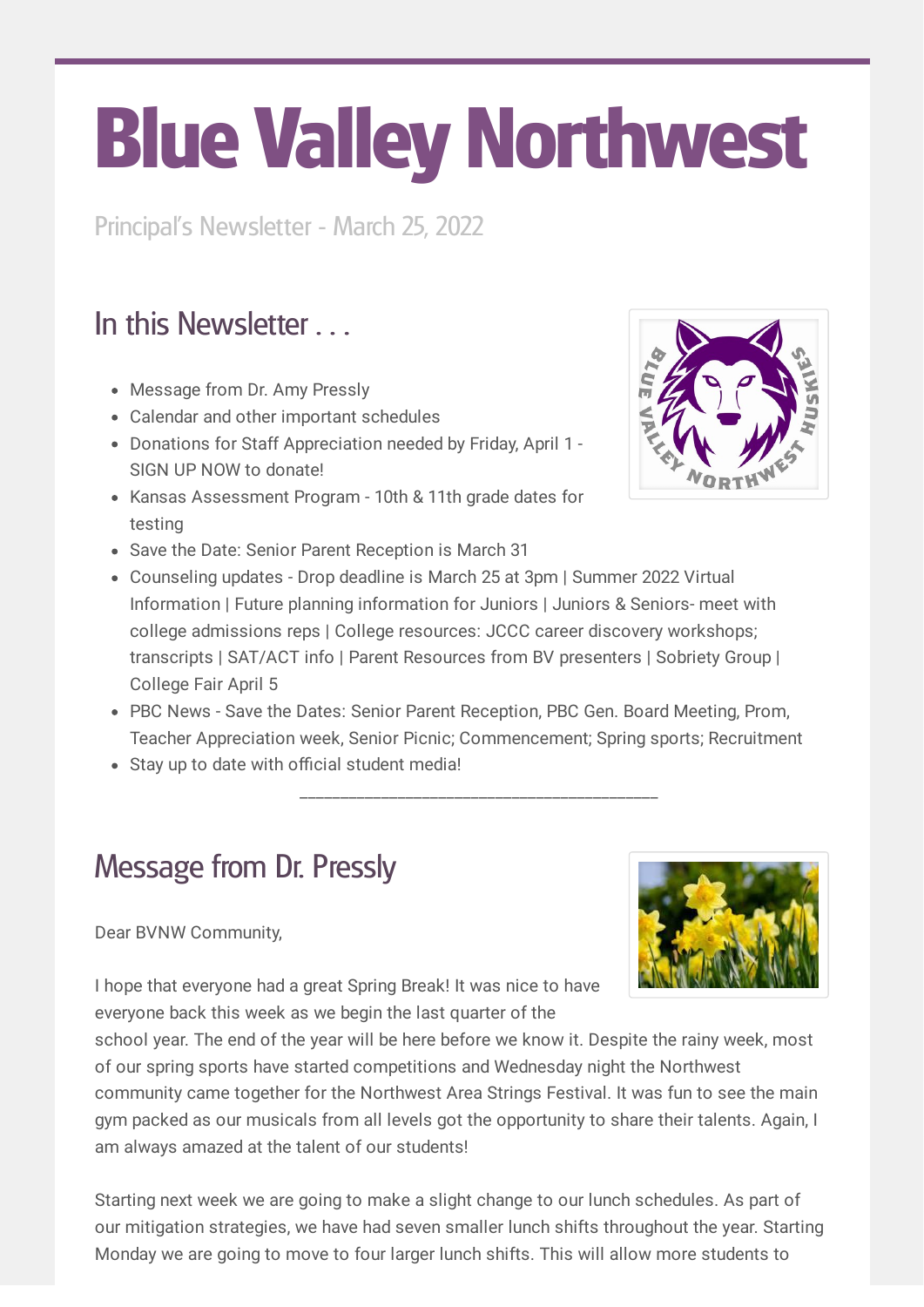# Blue Valley Northwest

Principal's Newsletter - March 25, 2022

# In this Newsletter

- Message from Dr. Amy Pressly
- Calendar and other important schedules
- Donations for Staff Appreciation needed by Friday, April 1 SIGN UP NOW to donate!
- Kansas Assessment Program 10th & 11th grade dates for testing
- Save the Date: Senior Parent Reception is March 31
- Counseling updates Drop deadline is March 25 at 3pm | Summer 2022 Virtual Information | Future planning information for Juniors | Juniors & Seniors- meet with college admissions reps | College resources: JCCC career discovery workshops; transcripts | SAT/ACT info | Parent Resources from BV presenters | Sobriety Group | College Fair April 5
- PBC News Save the Dates: Senior Parent Reception, PBC Gen. Board Meeting, Prom, Teacher Appreciation week, Senior Picnic; Commencement; Spring sports; Recruitment

\_\_\_\_\_\_\_\_\_\_\_\_\_\_\_\_\_\_\_\_\_\_\_\_\_\_\_\_\_\_\_\_\_\_\_\_\_\_\_\_\_\_\_\_

Stay up to date with official student media!

# Message from Dr. Pressly

## Dear BVNW Community,



I hope that everyone had a great Spring Break! It was nice to have everyone back this week as we begin the last quarter of the

school year. The end of the year will be here before we know it. Despite the rainy week, most of our spring sports have started competitions and Wednesday night the Northwest community came together for the Northwest Area Strings Festival. It was fun to see the main gym packed as our musicals from all levels got the opportunity to share their talents. Again, I am always amazed at the talent of our students!

Starting next week we are going to make a slight change to our lunch schedules. As part of our mitigation strategies, we have had seven smaller lunch shifts throughout the year. Starting Monday we are going to move to four larger lunch shifts. This will allow more students to

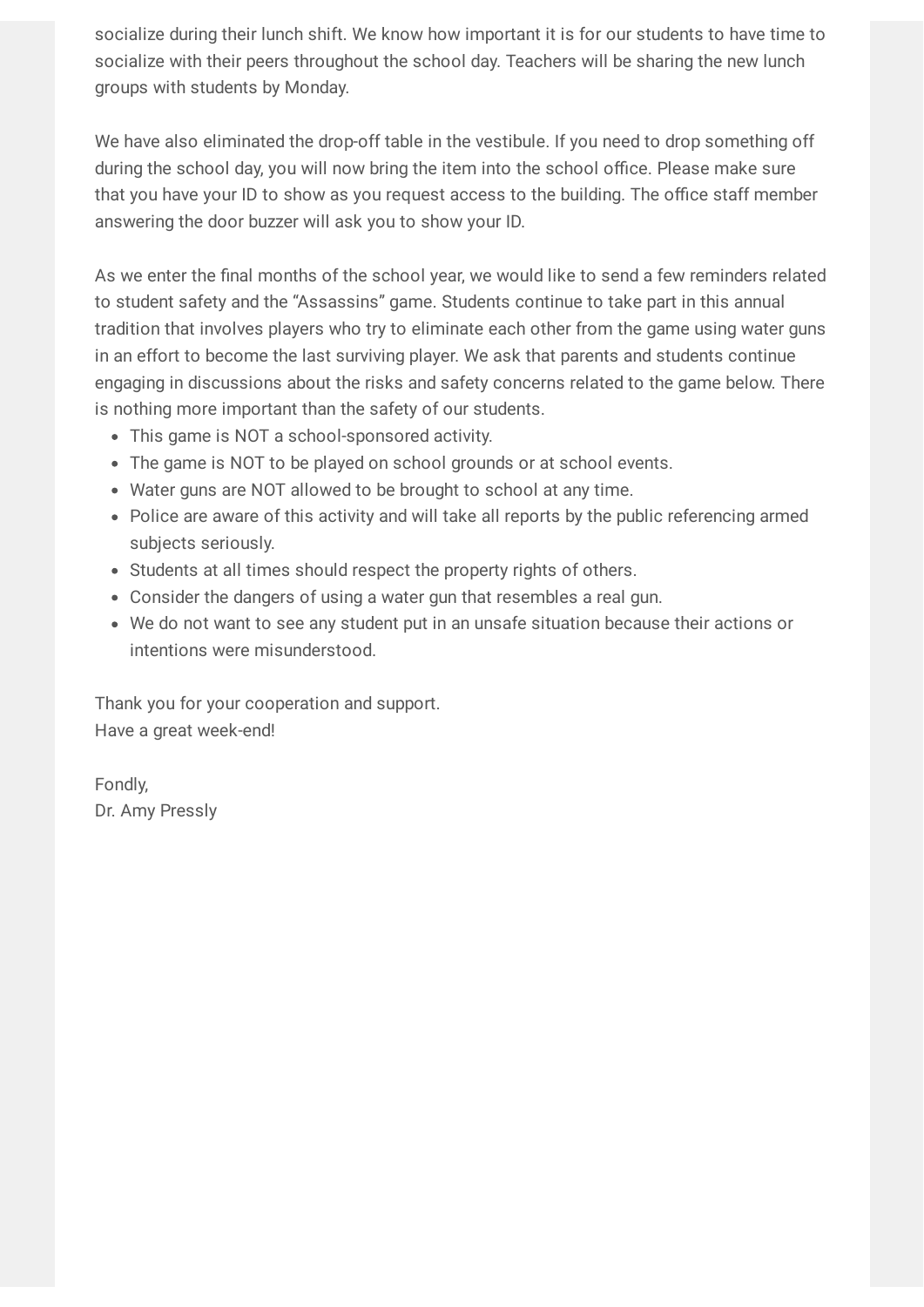socialize during their lunch shift. We know how important it is for our students to have time to socialize with their peers throughout the school day. Teachers will be sharing the new lunch groups with students by Monday.

We have also eliminated the drop-off table in the vestibule. If you need to drop something off during the school day, you will now bring the item into the school office. Please make sure that you have your ID to show as you request access to the building. The office staff member answering the door buzzer will ask you to show your ID.

As we enter the final months of the school year, we would like to send a few reminders related to student safety and the "Assassins" game. Students continue to take part in this annual tradition that involves players who try to eliminate each other from the game using water guns in an effort to become the last surviving player. We ask that parents and students continue engaging in discussions about the risks and safety concerns related to the game below. There is nothing more important than the safety of our students.

- This game is NOT a school-sponsored activity.
- The game is NOT to be played on school grounds or at school events.
- Water guns are NOT allowed to be brought to school at any time.
- Police are aware of this activity and will take all reports by the public referencing armed subjects seriously.
- Students at all times should respect the property rights of others.
- Consider the dangers of using a water gun that resembles a real gun.
- We do not want to see any student put in an unsafe situation because their actions or intentions were misunderstood.

Thank you for your cooperation and support. Have a great week-end!

Fondly, Dr. Amy Pressly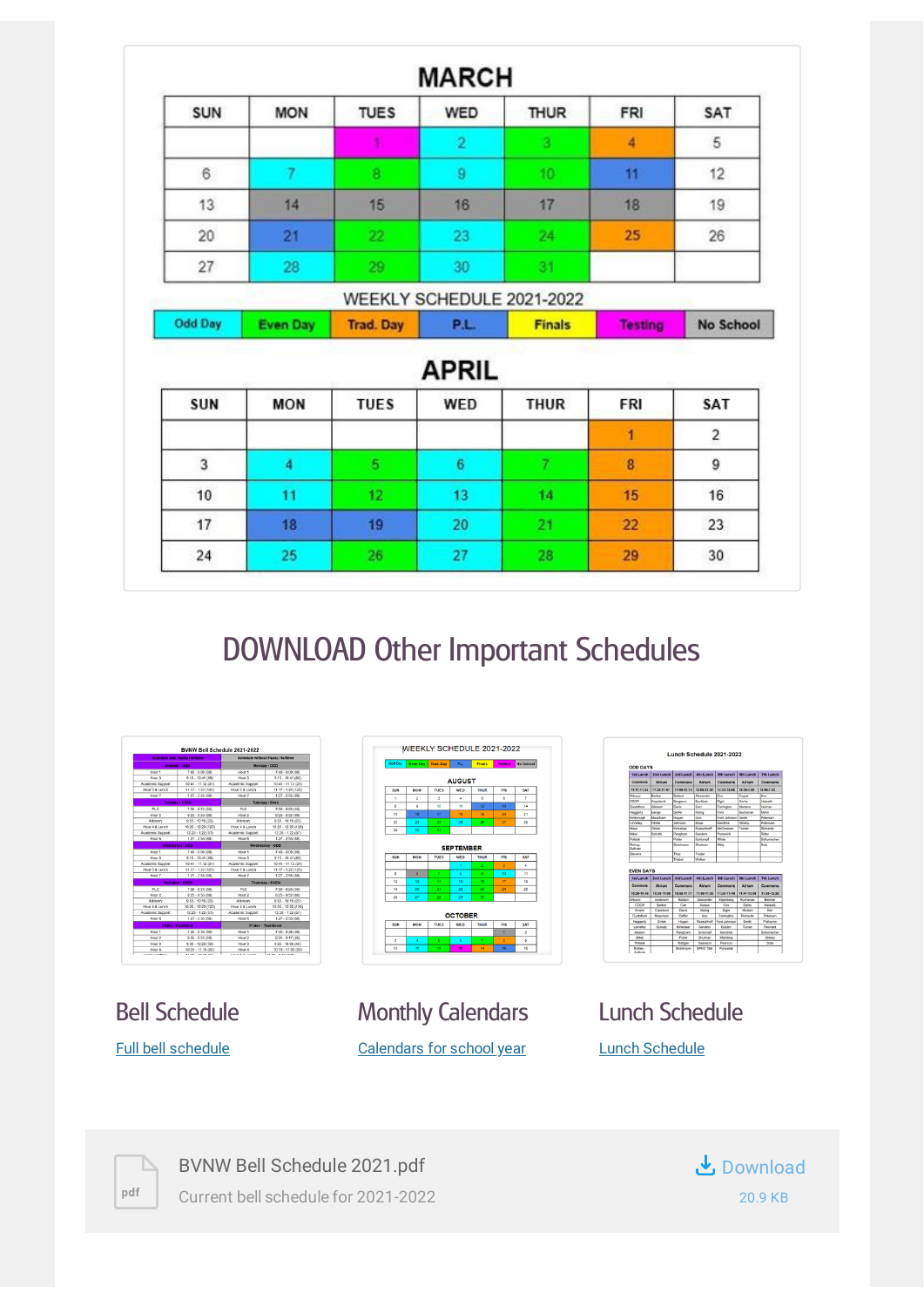| <b>SUN</b>     | <b>MON</b>      | <b>TUES</b>      | <b>WED</b>     | <b>THUR</b>               | <b>FRI</b>     | SAT              |
|----------------|-----------------|------------------|----------------|---------------------------|----------------|------------------|
|                |                 |                  | $\overline{2}$ | 3                         | 4              | 5                |
| 6              | 7               | $\bf{8}$         | 9              | 10                        | 11             | 12               |
| 13             | 14              | 15               | 16             | 17                        | 18             | 19               |
| 20             | 21              | 22 <sub>z</sub>  | 23             | 24                        | 25             | 26               |
| 27             | 28              | 29               | 30             | 31                        |                |                  |
|                |                 |                  |                | WEEKLY SCHEDULE 2021-2022 |                |                  |
| <b>Odd Day</b> | <b>Even Day</b> | <b>Trad. Day</b> | P.L.           | <b>Finals</b>             | <b>Testing</b> | <b>No School</b> |
|                |                 |                  |                |                           |                |                  |
|                |                 |                  | APRIL          |                           |                |                  |
| SUN            | <b>MON</b>      | <b>TUES</b>      | WED            | <b>THUR</b>               | FRI            | SAT              |
|                |                 |                  |                |                           | $\mathbf{I}$   | $\overline{2}$   |
| 3              | 4               | 5 <sub>1</sub>   | 6              | $7^{\circ}$               | 8              | 9                |
| 10             | 11              | 12 <sub>2</sub>  | 13             | 14                        | 15             | 16               |
| 17             | 18              | 19               | 20             | 21                        | 22             | 23               |

# DOWNLOAD Other Important Schedules



Bell Schedule Full bell [schedule](https://www.smore.com/app/attachments/download/611685b497532fb4e8a4ee1e)



Monthly Calendars [Calendars](https://docs.google.com/document/d/1c1Hd6Abo4C1p07CsEvua6eo9IpUcolN2hqsFSivSRy4/edit) for school year

| <b>ODD DAYS</b>                                            |                            |                             |                                   |                              |                            |                                                |
|------------------------------------------------------------|----------------------------|-----------------------------|-----------------------------------|------------------------------|----------------------------|------------------------------------------------|
| <b>Tat Lunch</b>                                           | 2nd Lunch                  | <b>3rd Lunch</b>            | <b>4th Lunch</b>                  | <b>Sth Lunch</b>             | <b>6th Lunch</b>           | <b>7th Lunch</b>                               |
| Commons                                                    | <b>Atrium</b>              | Commons                     | <b>Atrium</b>                     | Commons                      | <b>Atrium</b>              | Commons                                        |
| 11:17-11:42                                                | 11:32-11:57                | 11:50-12:15                 | 12:05-12:30                       | 12:23-12:48                  | 12:35-1:00                 | 12:56-1:22                                     |
| Msoci                                                      | Barton                     | Ballant                     | Alexander                         | Cm                           | Coyne                      | <b>bes</b>                                     |
| coce                                                       | Copeland                   | Bergeron.                   | <b>Buckhaw</b>                    | Elgin                        | Dedas                      | <b>Halashk</b>                                 |
| Quatafaon                                                  | Glickert                   | Davis                       | Carr                              | Farrington                   | Marters                    | Heiman                                         |
| Haggerty                                                   | Lange                      | Deffer                      | Hoing                             | Ford                         | Buchanan                   | Milton                                         |
| Kimbrough                                                  | <b>Mountain</b>            | Hogan                       | <b>Iran</b>                       | <b>Enet Intersen</b>         | <b>Revolts</b>             | Peterson                                       |
| LaValley                                                   | Ohlide                     | Inhousne                    | <b>Maas</b>                       | Kendrick                     | Strieby                    | Pothosing                                      |
| Mays                                                       | Orrick                     | Kinkelaan                   | Rueschhoft                        | McCrossen                    | Turner                     | Richards                                       |
| Miked                                                      | Schultz                    | Pangborn                    | <b>Sanders</b>                    | Punswirk                     |                            | Rider                                          |
| <b>Profincial</b>                                          |                            | Drettar                     | Schlumpf                          | White                        |                            | Schumacher                                     |
| <b>Richey-</b><br>Subvan                                   |                            | Stohlmann                   | Shulman                           | Witty                        |                            | Sula                                           |
|                                                            |                            |                             |                                   |                              |                            |                                                |
|                                                            |                            | Titus                       | Trader                            |                              |                            |                                                |
|                                                            |                            | Triebel                     | Walker                            |                              |                            |                                                |
| Stevens<br><b>EVEN DAYS</b><br><b>tat Lunch</b><br>Commons | 2nd Lunch<br><b>Atrium</b> | <b>3rd Lunch</b><br>Commons | <b>Ath Lunch</b><br><b>Atrium</b> | <b>Sth Lunch</b><br>Commons  | 6th Lunch<br><b>Atrium</b> |                                                |
| 10:20-10:45                                                | 10:35-11:00                | 10:52-11:17                 | 11:08-11:33                       | 11:23-11:48                  | 11:41-12:06                | <b>7th Lunch</b><br>Commons<br>11:55-12:20     |
| Adverti                                                    | Anderson                   | <b>Balland</b>              | Alexander                         | Elgenberg                    | Buchanan                   | <b>Bakhar</b>                                  |
| coop                                                       | Barton                     | Carr                        | Askew                             | Cox                          | Derks                      | <b>Halastik</b>                                |
| Evans                                                      | Copeland                   | Davis                       | Holno                             | Elgin                        | Mustan                     | <b>Ihm</b>                                     |
| Gustabuse                                                  | <b>Mearham</b>             | Deffer                      | <b>tran</b>                       | Farrington                   | <b>Richards</b>            | <b>Petersen</b>                                |
| <b>Haggerty</b>                                            | Onick                      | Hogan                       | Businessell                       | <b>Enrit Inhouses</b>        | <b>Rendity</b>             | <b><i><u>Profession</u></i></b>                |
| LaMalley                                                   | Schultz                    | Kinkelaar                   | Sanders                           | Golden                       | Turner                     | Reichart                                       |
| Mastery                                                    |                            | Pandborn                    | Schlumpf                          | Kendrick                     |                            |                                                |
| Miked                                                      |                            | <b>Priller</b>              | Shulman                           | Meinking                     |                            | Strieby                                        |
| <b>Dollard</b>                                             |                            | Ratigan                     | Swanson                           | <b><i><u>Pearson</u></i></b> |                            | <b><i><u>Rehemacher</u></i></b><br><b>Suda</b> |

Lunch Schedule Lunch [Schedule](https://docs.google.com/document/d/1XbW4YzLFvXHBU3WsXskaqI3wMPLhFT2Cb4scffW5rcQ/edit)



BVNW Bell Schedule 2021.pdf Current bell schedule for 2021-2022 [Download](https://www.smore.com/app/attachments/download/61167cdbaa4d0b8bee977203) 20.9 KB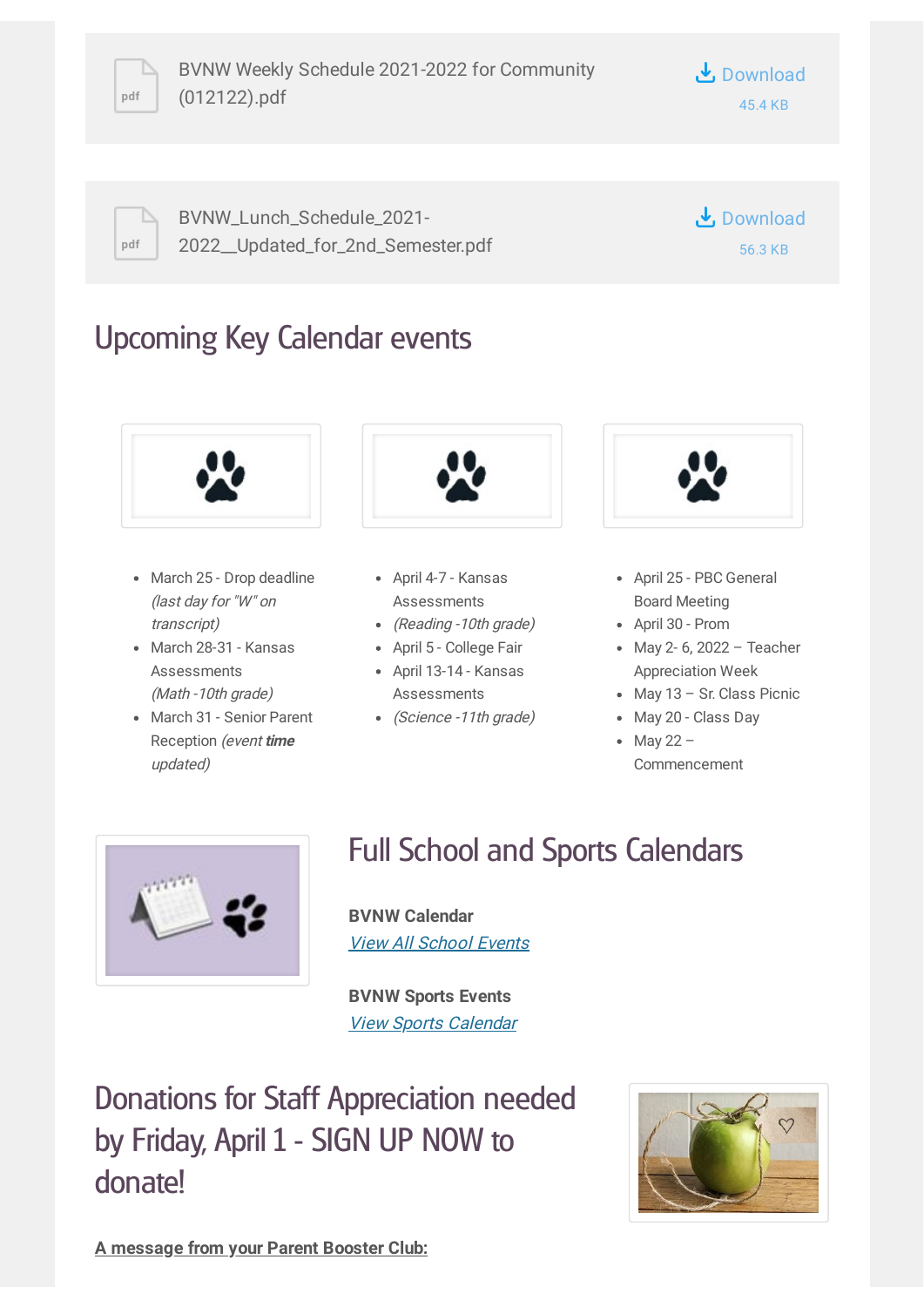

**pdf**

BVNW\_Lunch\_Schedule\_2021- [2022\\_\\_Updated\\_for\\_2nd\\_Semester.pdf](https://www.smore.com/app/attachments/download/61d863e9c1617a8d6bdc7deb) **↓** Download 56.3 KB

## Upcoming Key Calendar events



- March 25 Drop deadline (last day for "W" on transcript)
- March 28-31 Kansas **Assessments** (Math -10th grade)
- March 31 Senior Parent Reception (event **time** updated)



- April 4-7 Kansas Assessments
- (Reading -10th grade)
- April 5 College Fair
- April 13-14 Kansas Assessments
- (Science -11th grade)



- April 25 PBC General Board Meeting
- April 30 Prom
- May 2- 6, 2022 Teacher Appreciation Week
- May 13 Sr. Class Picnic
- May 20 Class Day
- $\bullet$  May 22 Commencement



# Full School and Sports Calendars

**BVNW Calendar** View All [School](https://www.bluevalleyk12.org/Page/23188#calendar41561/20210813/month) Events

**BVNW Sports Events** View Sports [Calendar](http://www.easternkansasleague.org/g5-bin/client.cgi?G5genie=997&school_id=9)

Donations for Staff Appreciation needed by Friday, April 1 - SIGN UP NOW to donate!



**A message from your Parent Booster Club:**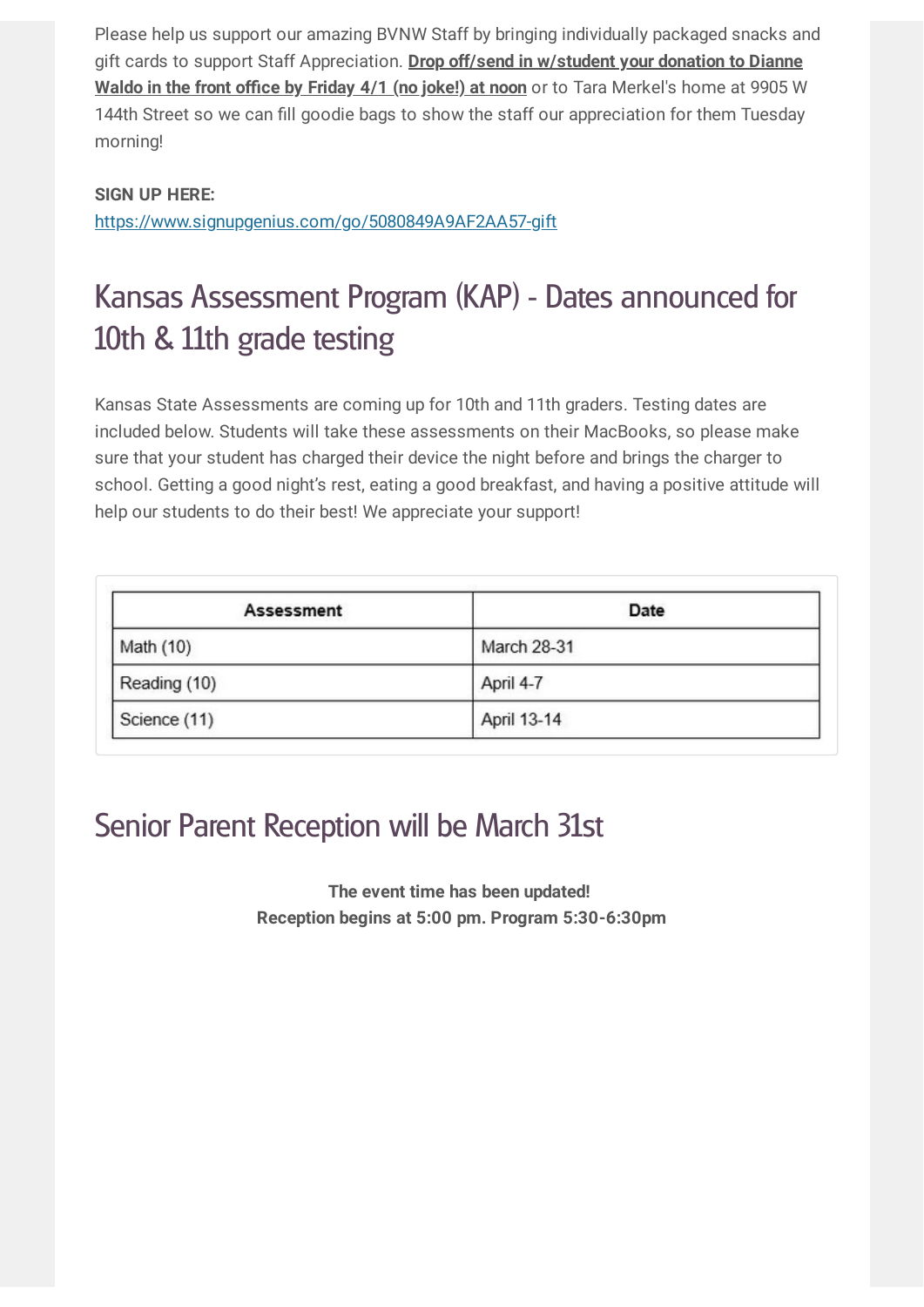Please help us support our amazing BVNW Staff by bringing individually packaged snacks and gift cards to support Staff Appreciation. **Drop off/send in w/student your donation to Dianne Waldo in the front office by Friday 4/1 (no joke!) at noon** or to Tara Merkel's home at 9905 W 144th Street so we can fill goodie bags to show the staff our appreciation for them Tuesday morning!

## **SIGN UP HERE:**

<https://www.signupgenius.com/go/5080849A9AF2AA57-gift>

# Kansas Assessment Program (KAP) - Dates announced for 10th & 11th grade testing

Kansas State Assessments are coming up for 10th and 11th graders. Testing dates are included below. Students will take these assessments on their MacBooks, so please make sure that your student has charged their device the night before and brings the charger to school. Getting a good night's rest, eating a good breakfast, and having a positive attitude will help our students to do their best! We appreciate your support!

| Assessment   | Date        |  |
|--------------|-------------|--|
| Math (10)    | March 28-31 |  |
| Reading (10) | April 4-7   |  |
| Science (11) | April 13-14 |  |

## Senior Parent Reception will be March 31st

**The event time has been updated! Reception begins at 5:00 pm. Program 5:30-6:30pm**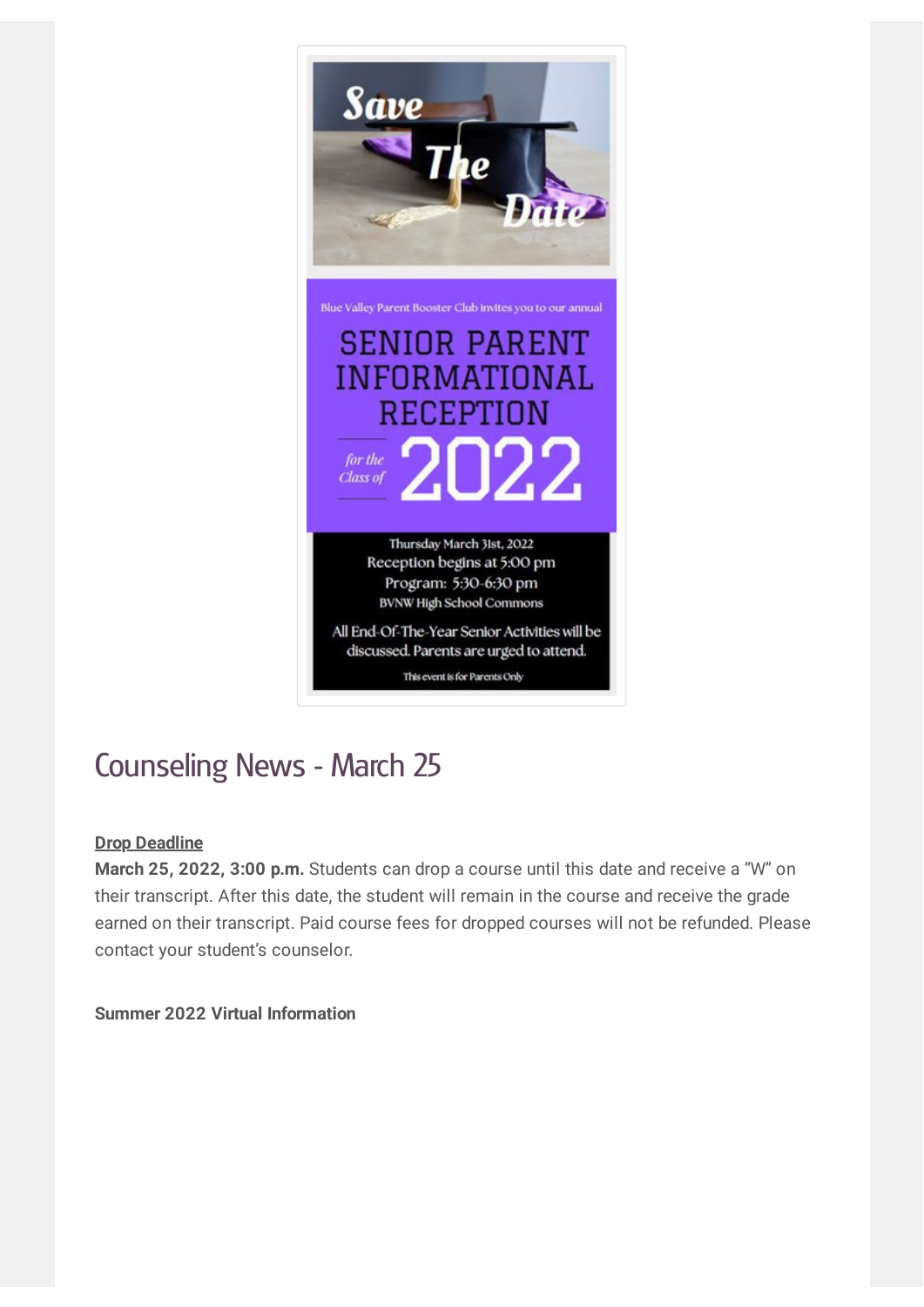

# Counseling News - March 25

## **Drop Deadline**

**March 25, 2022, 3:00 p.m.** Students can drop a course until this date and receive a "W" on their transcript. After this date, the student will remain in the course and receive the grade earned on their transcript. Paid course fees for dropped courses will not be refunded. Please contact your student's counselor.

**Summer 2022 Virtual Information**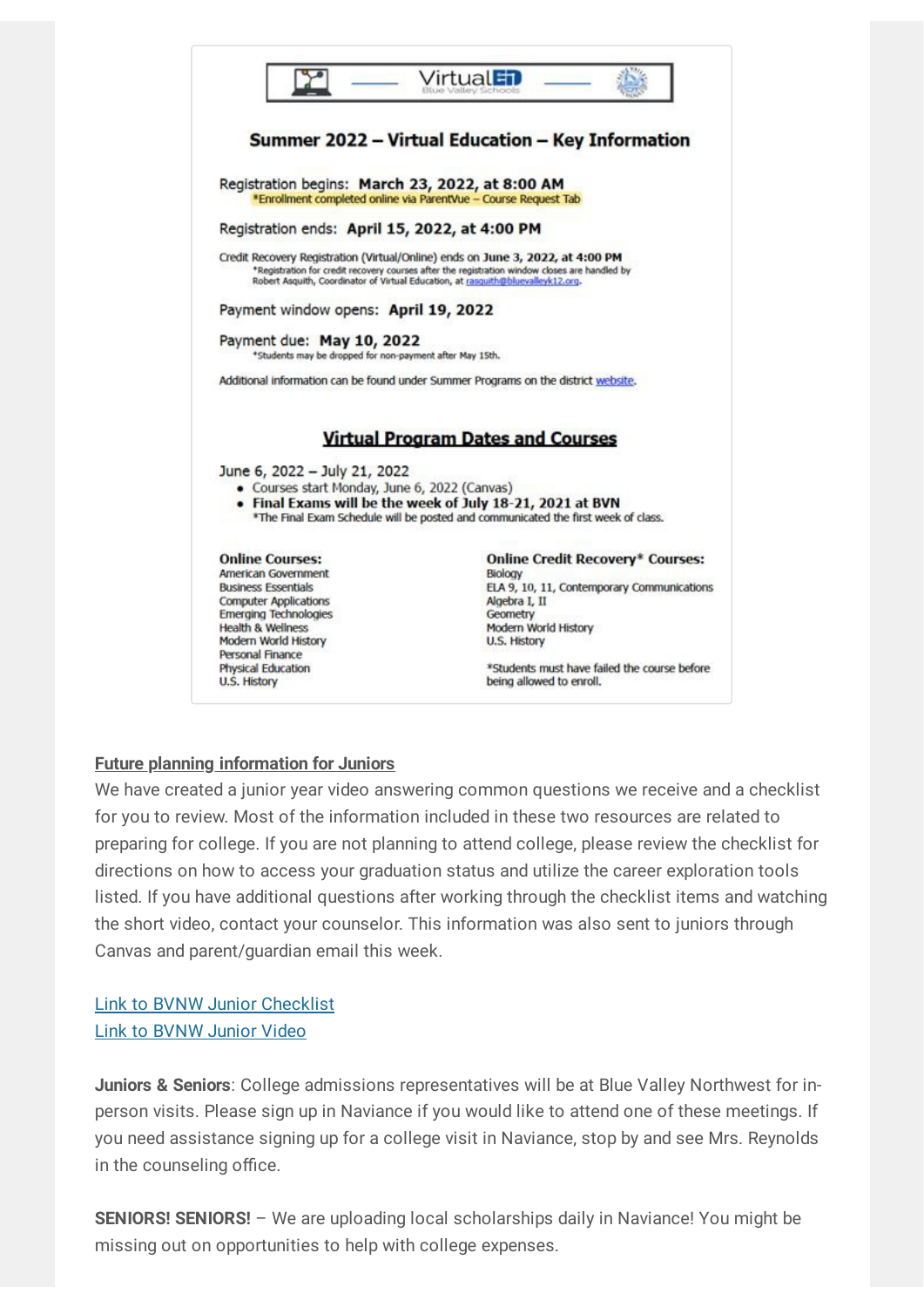

### **Future planning information for Juniors**

We have created a junior year video answering common questions we receive and a checklist for you to review. Most of the information included in these two resources are related to preparing for college. If you are not planning to attend college, please review the checklist for directions on how to access your graduation status and utilize the career exploration tools listed. If you have additional questions after working through the checklist items and watching the short video, contact your counselor. This information was also sent to juniors through Canvas and parent/guardian email this week.

Link to BVNW Junior [Checklist](https://docs.google.com/document/d/1nf7mCs-McLv2YdBTScuE9QHfiSkL4kwUtnBKATuH65Q/template/preview) Link to [BVNW](https://youtu.be/4oRBIt9_rPY) Junior Video

**Juniors & Seniors**: College admissions representatives will be at Blue Valley Northwest for inperson visits. Please sign up in Naviance if you would like to attend one of these meetings. If you need assistance signing up for a college visit in Naviance, stop by and see Mrs. Reynolds in the counseling office.

**SENIORS! SENIORS!** – We are uploading local scholarships daily in Naviance! You might be missing out on opportunities to help with college expenses.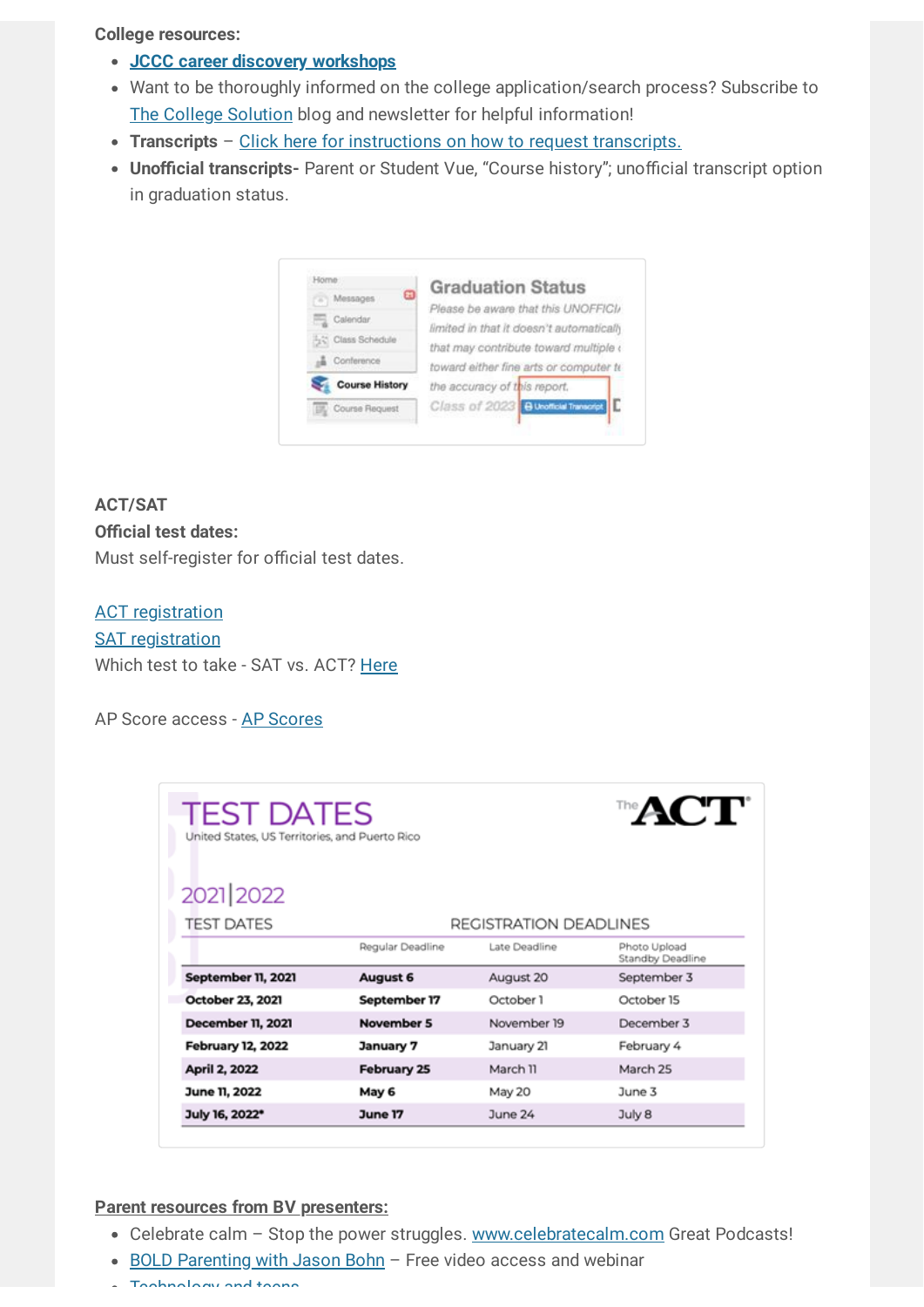**College resources:**

- **JCCC career discovery [workshops](https://www.jccc.edu/student-resources/career-development/discover/free-workshops.html)**
- Want to be thoroughly informed on the college application/search process? Subscribe to The College [Solution](http://www.thecollegesolution.com/getting-rejected-elite-universities/) blog and newsletter for helpful information!
- **Transcripts** Click here for [instructions](https://drive.google.com/file/d/1Np4w5UI-ehreD2RqSTlH8m0Mp5SHVFxV/view?usp=sharing) on how to request transcripts.
- **Unofficial transcripts-** Parent or Student Vue, "Course history"; unofficial transcript option in graduation status.

| ЕĐ<br>Messages        | <b>Graduation Status</b>                 |
|-----------------------|------------------------------------------|
|                       | Please be aware that this UNOFFICI/      |
| Calendar              | limited in that it doesn't automatically |
| Fig. Class Schedule   | that may contribute toward multiple (    |
| Conference            | toward either fine arts or computer to   |
| <b>Course History</b> | the accuracy of this report.             |
|                       | Class of 2023 B Unofficial Transcript    |

## **ACT/SAT Official test dates:** Must self-register for official test dates.

**ACT [registration](http://www.act.org/) SAT [registration](https://collegereadiness.collegeboard.org/sat/register)** Which test to take - SAT vs. ACT? [Here](https://www.princetonreview.com/college/sat-vs-act-infographic)

#### AP Score access - AP [Scores](https://apscore.collegeboard.org/scores#/)

| <b>TEST DATES</b><br>United States, US Territories, and Puerto Rico | <b>The ACT</b>     |                        |                                  |  |  |  |
|---------------------------------------------------------------------|--------------------|------------------------|----------------------------------|--|--|--|
| 2021 2022                                                           |                    |                        |                                  |  |  |  |
| <b>TEST DATES</b>                                                   |                    | REGISTRATION DEADLINES |                                  |  |  |  |
|                                                                     | Regular Deadline   | Late Deadline          | Photo Upload<br>Standby Deadline |  |  |  |
| September 11, 2021                                                  | August 6           | August 20              | September 3                      |  |  |  |
| October 23, 2021                                                    | September 17       | October 1              | October 15                       |  |  |  |
| <b>December 11, 2021</b>                                            | November 5         | November 19            | December 3                       |  |  |  |
| <b>February 12, 2022</b>                                            | January 7          | January 21             | February 4                       |  |  |  |
| April 2, 2022                                                       | <b>February 25</b> | March 11               | March 25                         |  |  |  |
| June 11, 2022                                                       | May 6              | May 20                 | June 3                           |  |  |  |
| July 16, 2022*                                                      | June 17            | June 24                | July 8                           |  |  |  |

#### **Parent resources from BV presenters:**

- Celebrate calm Stop the power struggles. [www.celebratecalm.com](http://www.celebratecalm.com/) Great Podcasts!
- BOLD [Parenting](https://www.eventbrite.com/e/bold-parenting-adolescents-episode-4-tickets-165630775107) with Jason Bohn Free video access and webinar
- **Thebrology and teens**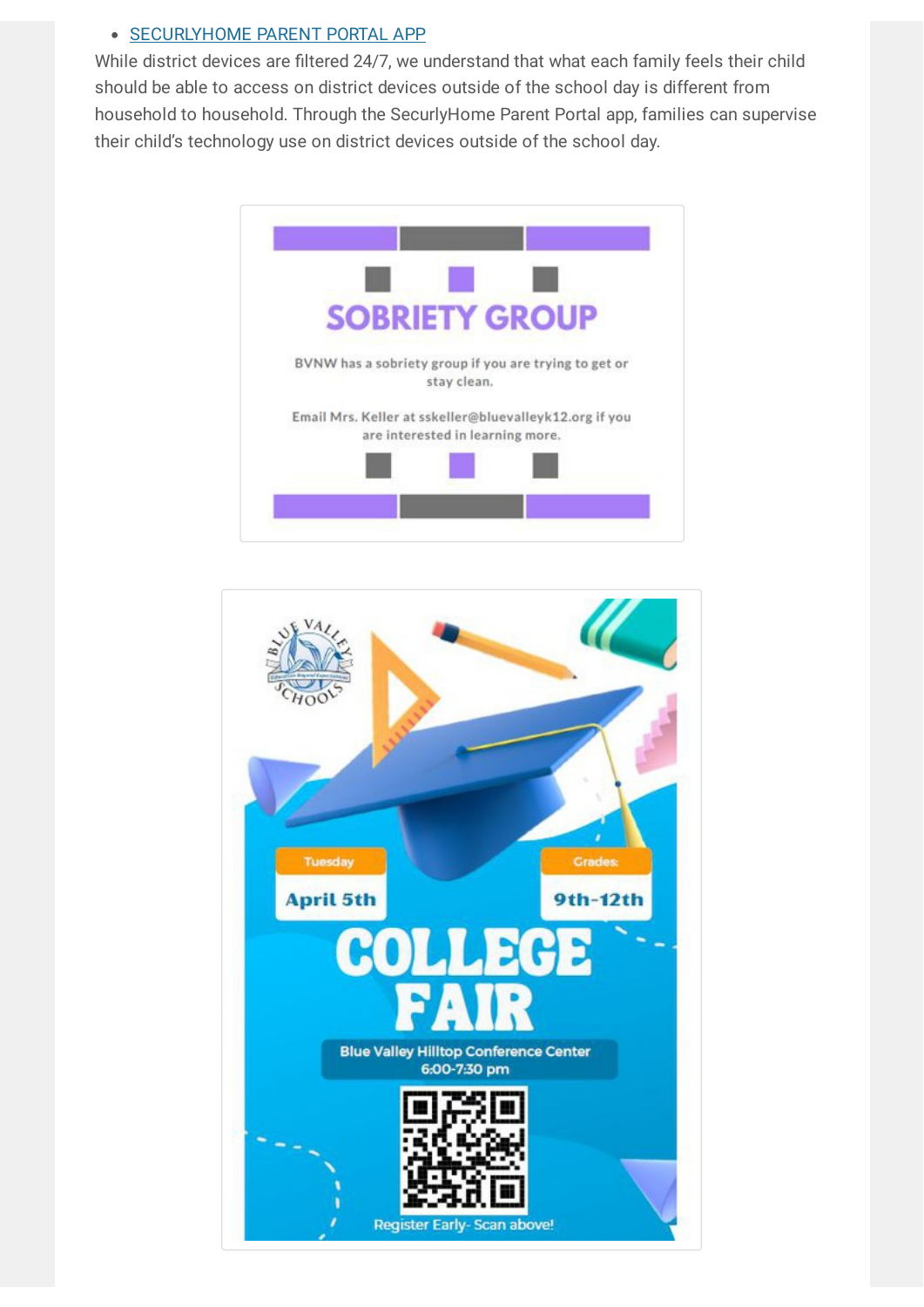## • [SECURLYHOME](https://www.bluevalleyk12.org/Page/34492) PARENT PORTAL APP

While district devices are filtered 24/7, we understand that what each family feels their child should be able to access on district devices outside of the school day is different from household to household. Through the SecurlyHome Parent Portal app, families can supervise their child's technology use on district devices outside of the school day.



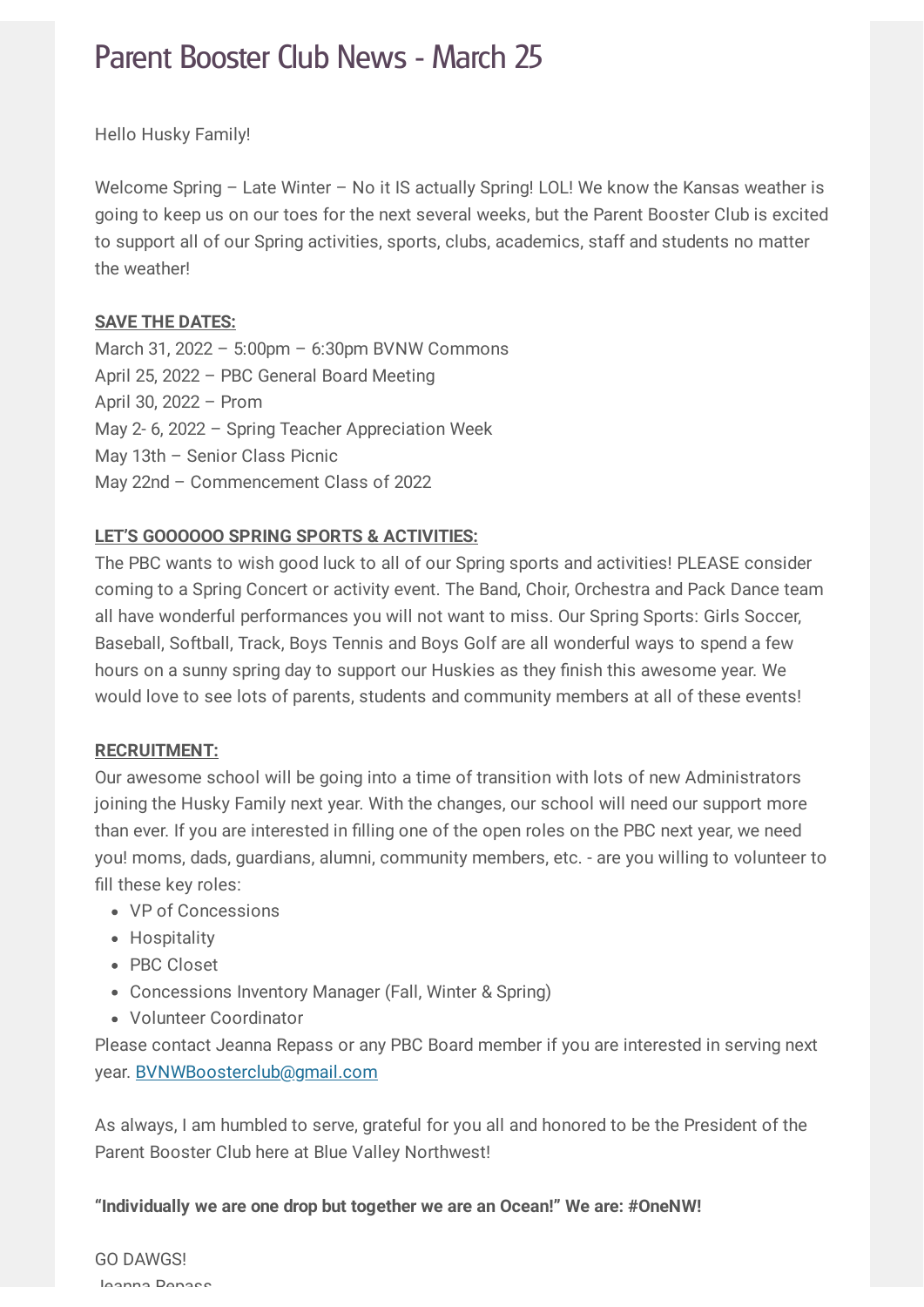## Parent Booster Club News - March 25

Hello Husky Family!

Welcome Spring – Late Winter – No it IS actually Spring! LOL! We know the Kansas weather is going to keep us on our toes for the next several weeks, but the Parent Booster Club is excited to support all of our Spring activities, sports, clubs, academics, staff and students no matter the weather!

#### **SAVE THE DATES:**

March 31, 2022 – 5:00pm – 6:30pm BVNW Commons April 25, 2022 – PBC General Board Meeting April 30, 2022 – Prom May 2- 6, 2022 – Spring Teacher Appreciation Week May 13th – Senior Class Picnic May 22nd – Commencement Class of 2022

## **LET'S GOOOOOO SPRING SPORTS & ACTIVITIES:**

The PBC wants to wish good luck to all of our Spring sports and activities! PLEASE consider coming to a Spring Concert or activity event. The Band, Choir, Orchestra and Pack Dance team all have wonderful performances you will not want to miss. Our Spring Sports: Girls Soccer, Baseball, Softball, Track, Boys Tennis and Boys Golf are all wonderful ways to spend a few hours on a sunny spring day to support our Huskies as they finish this awesome year. We would love to see lots of parents, students and community members at all of these events!

#### **RECRUITMENT:**

Our awesome school will be going into a time of transition with lots of new Administrators joining the Husky Family next year. With the changes, our school will need our support more than ever. If you are interested in filling one of the open roles on the PBC next year, we need you! moms, dads, guardians, alumni, community members, etc. - are you willing to volunteer to fill these key roles:

- VP of Concessions
- Hospitality
- PBC Closet
- Concessions Inventory Manager (Fall, Winter & Spring)
- Volunteer Coordinator

Please contact Jeanna Repass or any PBC Board member if you are interested in serving next year. [BVNWBoosterclub@gmail.com](mailto:BVNWBoosterclub@gmail.com)

As always, I am humbled to serve, grateful for you all and honored to be the President of the Parent Booster Club here at Blue Valley Northwest!

**"Individually we are one drop but together we are an Ocean!" We are: #OneNW!**

GO DAWGS! Jeanna Repass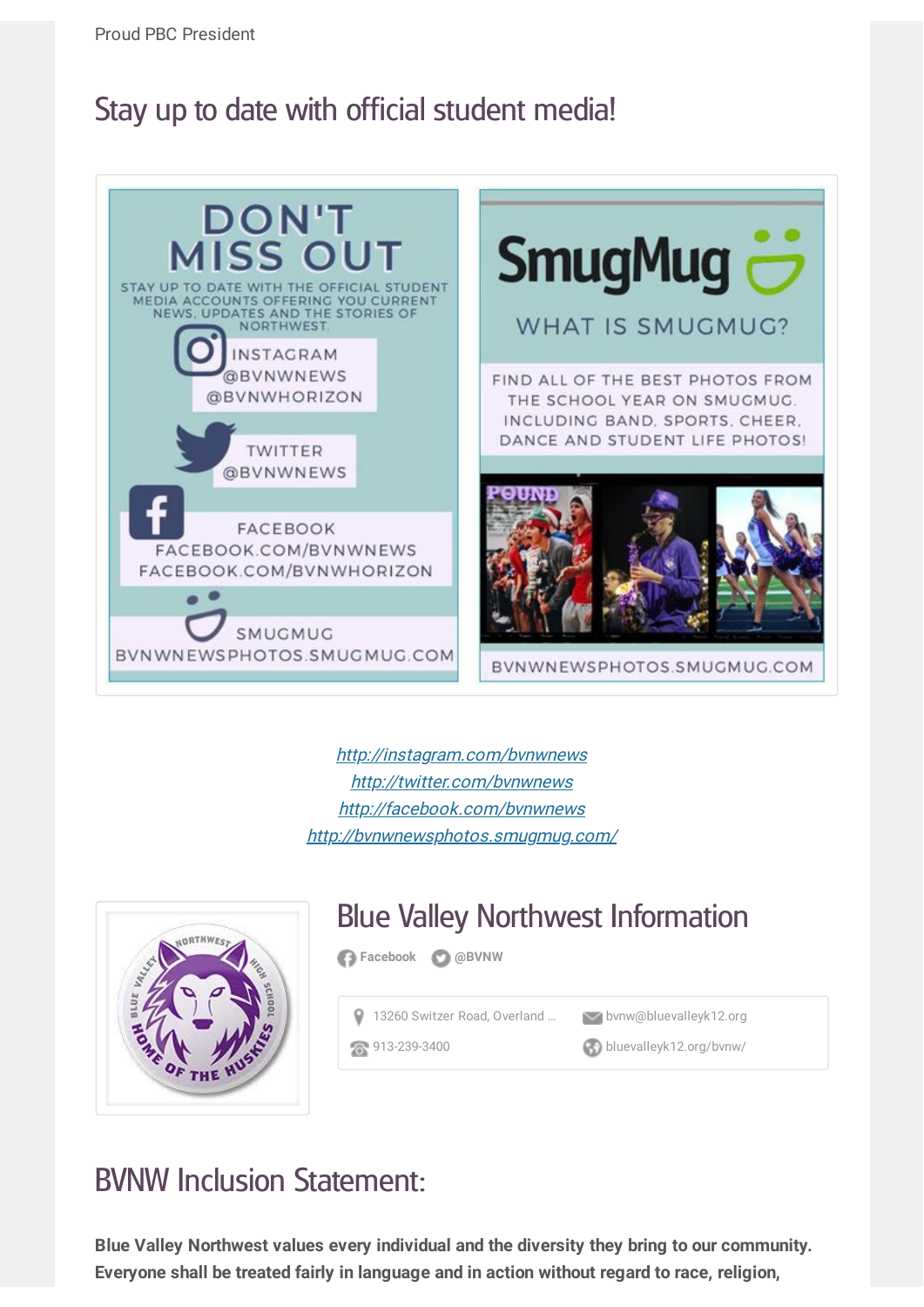## Stay up to date with official student media!



http://[instagram.com/bvnwnews](http://instagram.com/bvnwnews) http://[twitter.com/bvnwnews](http://twitter.com/bvnwnews) http://[facebook.com/bvnwnews](http://facebook.com/bvnwnews) http://[bvnwnewsphotos.smugmug.com/](http://bvnwnewsphotos.smugmug.com/)



# Blue Valley Northwest Information

**[Facebook](http://www.facebook.com/bluevalleynorthwest) [@BVNW](http://www.twitter.com/@BVNW)**

13260 Switzer Road, [Overland](http://maps.google.com/maps?daddr=13260%20Switzer%20Road%2C%20Overland%20Park%2C%20KS%2C%20USA&hl=en) ... **We bynw@bluevalleyk12.org** 

[913-239-3400](tel:913-239-3400) [bluevalleyk12.org/bvnw/](http://www.bluevalleyk12.org/bvnw/)

## BVNW Inclusion Statement:

**Blue Valley Northwest values every individual and the diversity they bring to our community. Everyone shall be treated fairly in language and in action without regard to race, religion,**